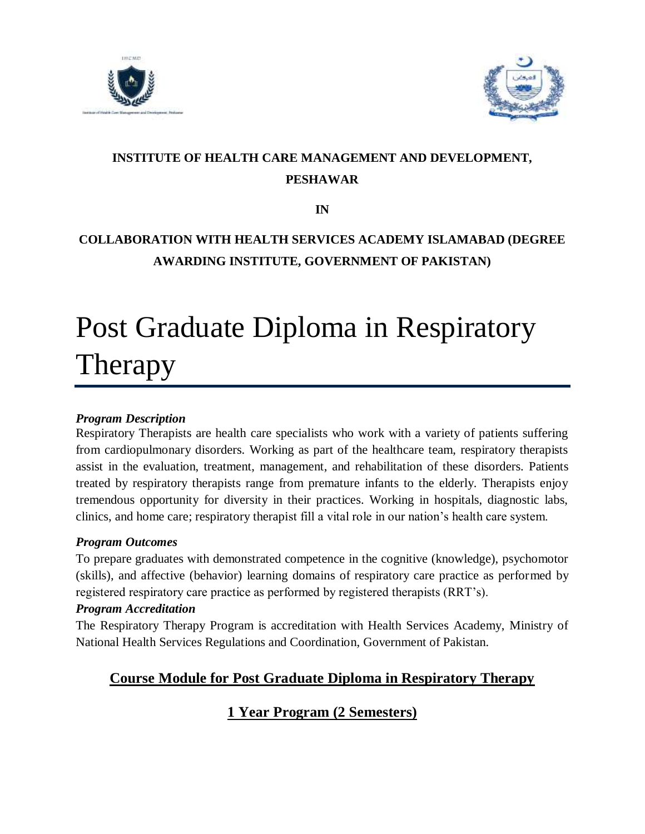



# **INSTITUTE OF HEALTH CARE MANAGEMENT AND DEVELOPMENT, PESHAWAR**

**IN**

## **COLLABORATION WITH HEALTH SERVICES ACADEMY ISLAMABAD (DEGREE AWARDING INSTITUTE, GOVERNMENT OF PAKISTAN)**

# Post Graduate Diploma in Respiratory Therapy

#### *Program Description*

Respiratory Therapists are health care specialists who work with a variety of patients suffering from cardiopulmonary disorders. Working as part of the healthcare team, respiratory therapists assist in the evaluation, treatment, management, and rehabilitation of these disorders. Patients treated by respiratory therapists range from premature infants to the elderly. Therapists enjoy tremendous opportunity for diversity in their practices. Working in hospitals, diagnostic labs, clinics, and home care; respiratory therapist fill a vital role in our nation's health care system.

#### *Program Outcomes*

To prepare graduates with demonstrated competence in the cognitive (knowledge), psychomotor (skills), and affective (behavior) learning domains of respiratory care practice as performed by registered respiratory care practice as performed by registered therapists (RRT's).

#### *Program Accreditation*

The Respiratory Therapy Program is accreditation with Health Services Academy, Ministry of National Health Services Regulations and Coordination, Government of Pakistan.

## **Course Module for Post Graduate Diploma in Respiratory Therapy**

## **1 Year Program (2 Semesters)**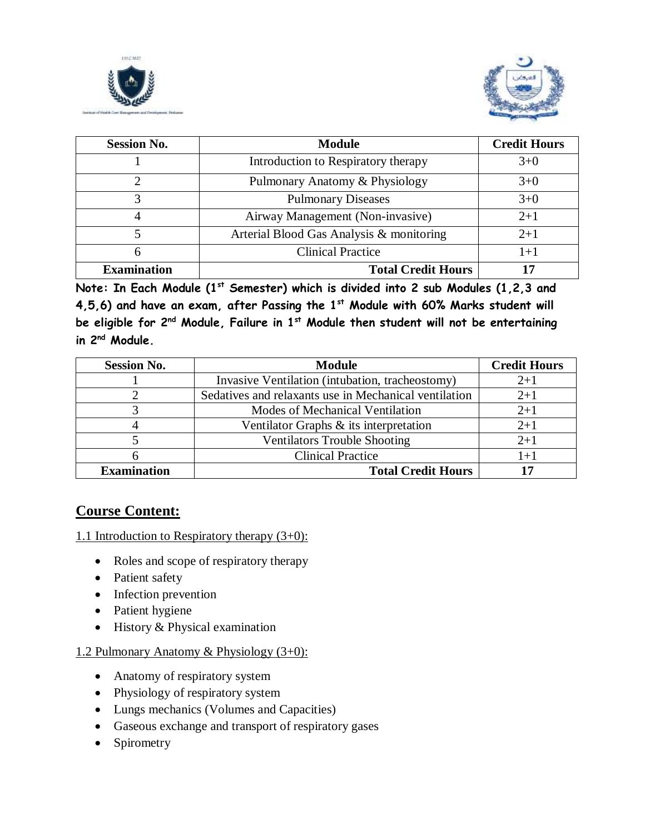



| <b>Session No.</b> | <b>Module</b>                            | <b>Credit Hours</b> |
|--------------------|------------------------------------------|---------------------|
|                    | Introduction to Respiratory therapy      | $3+0$               |
|                    | Pulmonary Anatomy & Physiology           | $3+0$               |
|                    | <b>Pulmonary Diseases</b>                | $3+0$               |
|                    | Airway Management (Non-invasive)         | $2+1$               |
|                    | Arterial Blood Gas Analysis & monitoring | $2+1$               |
| 6                  | <b>Clinical Practice</b>                 | $1+1$               |
| <b>Examination</b> | <b>Total Credit Hours</b>                |                     |

**Note: In Each Module (1st Semester) which is divided into 2 sub Modules (1,2,3 and 4,5,6) and have an exam, after Passing the 1st Module with 60% Marks student will be eligible for 2nd Module, Failure in 1st Module then student will not be entertaining in 2nd Module.**

| <b>Session No.</b> | <b>Module</b>                                         | <b>Credit Hours</b> |
|--------------------|-------------------------------------------------------|---------------------|
|                    | Invasive Ventilation (intubation, tracheostomy)       | $2+1$               |
|                    | Sedatives and relaxants use in Mechanical ventilation | $2+1$               |
|                    | Modes of Mechanical Ventilation                       | $2+1$               |
|                    | Ventilator Graphs $\&$ its interpretation             | $2 + 1$             |
|                    | <b>Ventilators Trouble Shooting</b>                   | $2 + 1$             |
|                    | <b>Clinical Practice</b>                              | $1+1$               |
| <b>Examination</b> | <b>Total Credit Hours</b>                             | רו                  |

#### **Course Content:**

1.1 Introduction to Respiratory therapy (3+0):

- Roles and scope of respiratory therapy
- Patient safety
- Infection prevention
- Patient hygiene
- History & Physical examination

#### 1.2 Pulmonary Anatomy & Physiology (3+0):

- Anatomy of respiratory system
- Physiology of respiratory system
- Lungs mechanics (Volumes and Capacities)
- Gaseous exchange and transport of respiratory gases
- Spirometry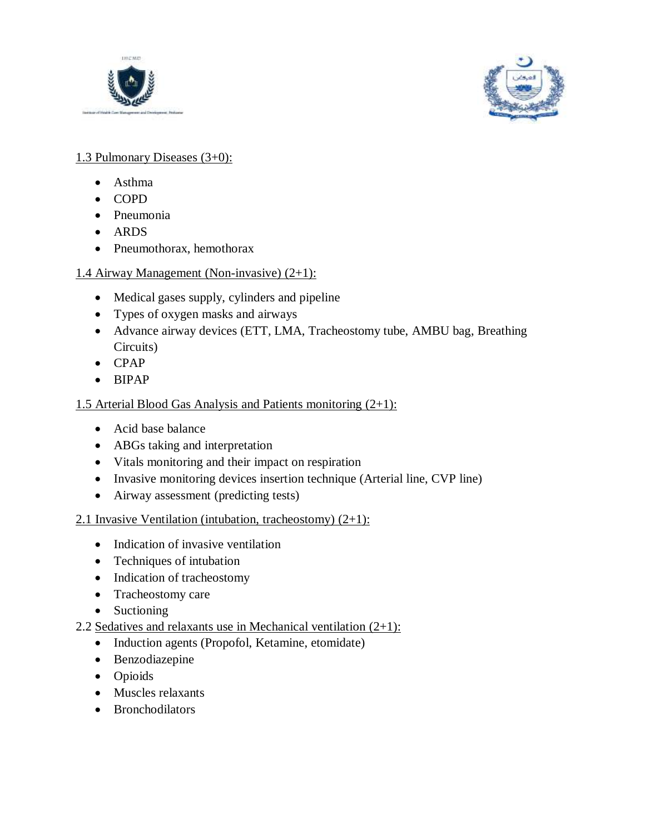



#### 1.3 Pulmonary Diseases (3+0):

- Asthma
- COPD
- Pneumonia
- ARDS
- Pneumothorax, hemothorax

### 1.4 Airway Management (Non-invasive) (2+1):

- Medical gases supply, cylinders and pipeline
- Types of oxygen masks and airways
- Advance airway devices (ETT, LMA, Tracheostomy tube, AMBU bag, Breathing Circuits)
- CPAP
- BIPAP

#### 1.5 Arterial Blood Gas Analysis and Patients monitoring  $(2+1)$ :

- Acid base balance
- ABGs taking and interpretation
- Vitals monitoring and their impact on respiration
- Invasive monitoring devices insertion technique (Arterial line, CVP line)
- Airway assessment (predicting tests)

#### 2.1 Invasive Ventilation (intubation, tracheostomy)  $(2+1)$ :

- Indication of invasive ventilation
- Techniques of intubation
- Indication of tracheostomy
- Tracheostomy care
- Suctioning

#### 2.2 Sedatives and relaxants use in Mechanical ventilation  $(2+1)$ :

- Induction agents (Propofol, Ketamine, etomidate)
- Benzodiazepine
- Opioids
- Muscles relaxants
- Bronchodilators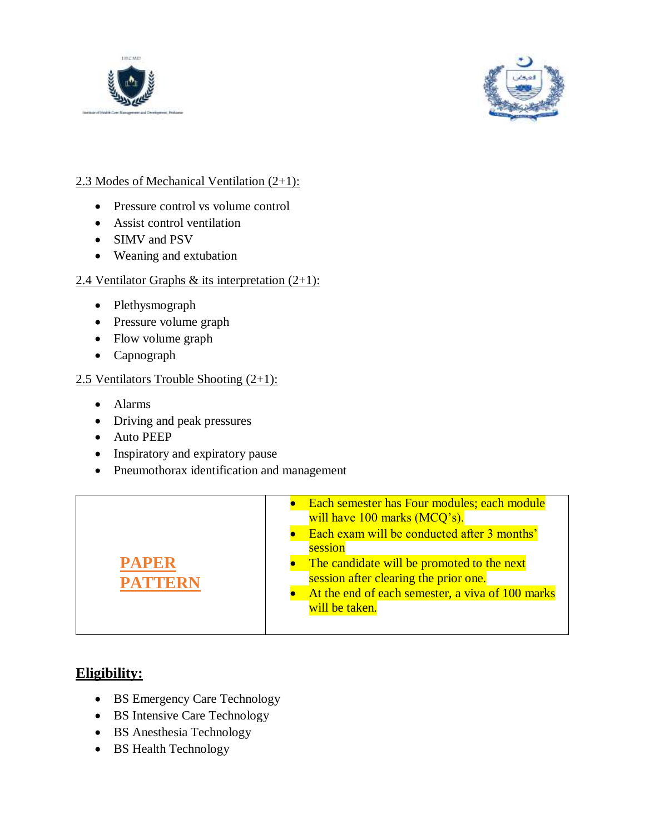



#### 2.3 Modes of Mechanical Ventilation (2+1):

- Pressure control vs volume control
- Assist control ventilation
- SIMV and PSV
- Weaning and extubation

#### 2.4 Ventilator Graphs & its interpretation  $(2+1)$ :

- Plethysmograph
- Pressure volume graph
- Flow volume graph
- Capnograph

#### 2.5 Ventilators Trouble Shooting  $(2+1)$ :

- Alarms
- Driving and peak pressures
- Auto PEEP
- Inspiratory and expiratory pause
- Pneumothorax identification and management



#### **Eligibility:**

- BS Emergency Care Technology
- BS Intensive Care Technology
- BS Anesthesia Technology
- BS Health Technology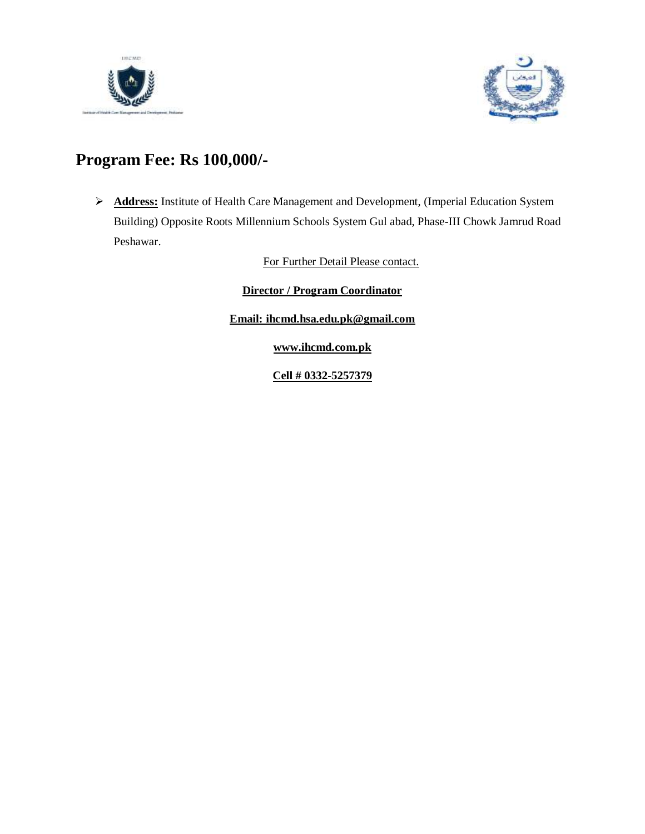



# **Program Fee: Rs 100,000/-**

 **Address:** Institute of Health Care Management and Development, (Imperial Education System Building) Opposite Roots Millennium Schools System Gul abad, Phase-III Chowk Jamrud Road Peshawar.

For Further Detail Please contact.

**Director / Program Coordinator**

**Email: [ihcmd.hsa.edu.pk@gmail.com](mailto:ihcmd.hsa.edu.pk@gmail.com)**

**www.ihcmd.com.pk**

**Cell # 0332-5257379**